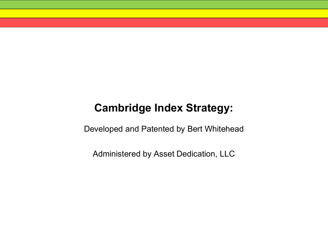# **Cambridge Index Strategy:**

Developed and Patented by Bert Whitehead

Administered by Asset Dedication, LLC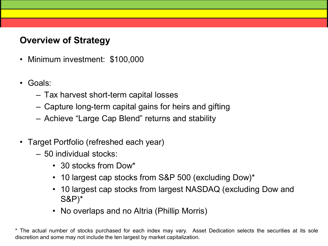# **Overview of Strategy**

- Minimum investment: \$100,000
- Goals:
	- Tax harvest short-term capital losses
	- Capture long-term capital gains for heirs and gifting
	- Achieve "Large Cap Blend" returns and stability
- Target Portfolio (refreshed each year)
	- 50 individual stocks:
		- 30 stocks from Dow\*
		- 10 largest cap stocks from S&P 500 (excluding Dow)\*
		- 10 largest cap stocks from largest NASDAQ (excluding Dow and S&P)\*
		- No overlaps and no Altria (Phillip Morris)

\* The actual number of stocks purchased for each index may vary. Asset Dedication selects the securities at its sole discretion and some may not include the ten largest by market capitalization.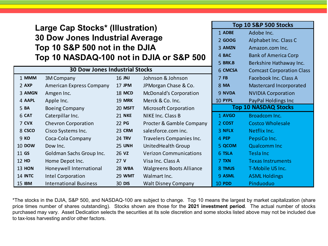### **Large Cap Stocks\* (Illustration) 30 Dow Jones Industrial Average Top 10 S&P 500 not in the DJIA Top 10 NASDAQ-100 not in DJIA or S&P 500**

| <b>30 Dow Jones Industrial Stocks</b> |                                 |                 |                                 |                             | <b>Comcast Corporation Clas</b> |
|---------------------------------------|---------------------------------|-----------------|---------------------------------|-----------------------------|---------------------------------|
| 1 MMM                                 | 3M Company                      | 16 JNJ          | Johnson & Johnson               | 7FB                         | Facebook Inc. Class A           |
| 2 AXP                                 | <b>American Express Company</b> | <b>17 JPM</b>   | JPMorgan Chase & Co.            | 8 MA                        | Mastercard Incorporated         |
| 3 AMGN                                | Amgen Inc.                      | <b>18 MCD</b>   | <b>McDonald's Corporation</b>   | 9 NVDA                      | <b>NVIDIA Corporation</b>       |
| 4 AAPL                                | Apple Inc.                      | <b>19 MRK</b>   | Merck & Co. Inc.                | 10 PYPL                     | PayPal Holdings Inc             |
| 5 BA                                  | <b>Boeing Company</b>           | 20 MSFT         | <b>Microsoft Corporation</b>    | <b>Top 10 NASDAQ Stocks</b> |                                 |
| 6 CAT                                 | Caterpillar Inc.                | <b>21 NKE</b>   | <b>NIKE Inc. Class B</b>        | 1 AVGO                      | Broadcom Inc.                   |
| 7 CVX                                 | <b>Chevron Corporation</b>      | 22 PG           | Procter & Gamble Company        | 2 COST                      | <b>Costco Wholesale</b>         |
| 8 CSCO                                | Cisco Systems Inc.              | <b>23 CRM</b>   | salesforce.com inc.             | 3 NFLX                      | Netflix Inc.                    |
| 9 KO                                  | Coca-Cola Company               | <b>24 TRV</b>   | Travelers Companies Inc.        | 4 PEP                       | PepsiCo Inc.                    |
| <b>10 DOW</b>                         | Dow Inc.                        | <b>25 UNH</b>   | UnitedHealth Group              | 5 QCOM                      | <b>Qualcomm Inc</b>             |
| 11 GS                                 | Goldman Sachs Group Inc.        | 26 vz           | <b>Verizon Communications</b>   | 6 TSLA                      | Tesla Inc                       |
| <b>12 HD</b>                          | Home Depot Inc.                 | 27 <sub>V</sub> | Visa Inc. Class A               | 7 TXN                       | <b>Texas Instruments</b>        |
| <b>13 HON</b>                         | Honeywell International         | <b>28 WBA</b>   | <b>Walgreens Boots Alliance</b> | 8 TMUS                      | T-Mobile US Inc.                |
| 14 INTC                               | <b>Intel Corporation</b>        | <b>29 WMT</b>   | Walmart Inc.                    | 9 ASML                      | <b>ASML Holdings</b>            |
| <b>15 IBM</b>                         | <b>International Business</b>   | <b>30 DIS</b>   | <b>Walt Disney Company</b>      | <b>10 PDD</b>               | Pinduoduo                       |

\*The stocks in the DJIA, S&P 500, and NASDAQ-100 are subject to change. Top 10 means the largest by market capitalization (share price times number of shares outstanding). Stocks shown are those for the **2021 investment period**. The actual number of stocks purchased may vary. Asset Dedication selects the securities at its sole discretion and some stocks listed above may not be included due to tax-loss harvesting and/or other factors.

|         | Top 10 S&P 500 Stocks            |  |  |
|---------|----------------------------------|--|--|
| 1 ADBE  | Adobe Inc.                       |  |  |
| 2 GOOG  | Alphabet Inc. Class C            |  |  |
| 3 AMZN  | Amazon.com Inc.                  |  |  |
| 4 BAC   | <b>Bank of America Corp</b>      |  |  |
| 5 BRK.B | Berkshire Hathaway Inc.          |  |  |
| 6 CMCSA | <b>Comcast Corporation Class</b> |  |  |
| 7FB     | Facebook Inc. Class A            |  |  |
| 8 MA    | Mastercard Incorporated          |  |  |
| 9 NVDA  | <b>NVIDIA Corporation</b>        |  |  |
| 10 PYPL | PayPal Holdings Inc              |  |  |
|         |                                  |  |  |
|         | <b>Top 10 NASDAQ Stocks</b>      |  |  |
| 1 AVGO  | <b>Broadcom Inc.</b>             |  |  |
| 2 COST  | <b>Costco Wholesale</b>          |  |  |
| 3 NFLX  | Netflix Inc.                     |  |  |
| 4 PEP   | PepsiCo Inc.                     |  |  |
| 5 QCOM  | <b>Qualcomm Inc</b>              |  |  |
| 6 TSLA  | <b>Tesla Inc</b>                 |  |  |
| 7 TXN   | <b>Texas Instruments</b>         |  |  |
| 8 TMUS  | T-Mobile US Inc.                 |  |  |
| 9 ASML  | <b>ASML Holdings</b>             |  |  |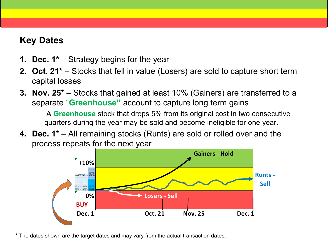# **Key Dates**

- **1. Dec. 1\*** Strategy begins for the year
- **2. Oct. 21\***  Stocks that fell in value (Losers) are sold to capture short term capital losses
- **3. Nov. 25\***  Stocks that gained at least 10% (Gainers) are transferred to a separate "**Greenhouse"** account to capture long term gains
	- A **Greenhouse** stock that drops 5% from its original cost in two consecutive quarters during the year may be sold and become ineligible for one year.
- **4. Dec. 1\***  All remaining stocks (Runts) are sold or rolled over and the process repeats for the next year



\* The dates shown are the target dates and may vary from the actual transaction dates.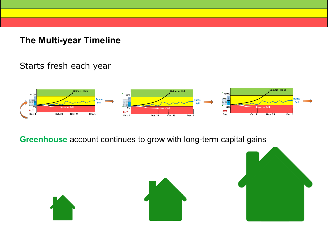**The Multi-year Timeline**

### Starts fresh each year



**Greenhouse** account continues to grow with long-term capital gains

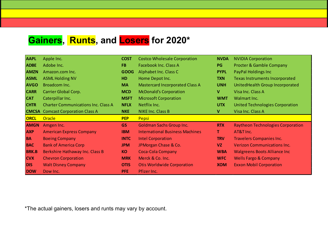# **Gainers, Runts, and Losers for 2020\***

| <b>AAPL</b>  | Apple Inc.                                 | <b>COST</b> | <b>Costco Wholesale Corporation</b>    | <b>NVDA</b> | <b>NVIDIA Corporation</b>                |
|--------------|--------------------------------------------|-------------|----------------------------------------|-------------|------------------------------------------|
| <b>ADBE</b>  | Adobe Inc.                                 | <b>FB</b>   | Facebook Inc. Class A                  | <b>PG</b>   | <b>Procter &amp; Gamble Company</b>      |
| <b>AMZN</b>  | Amazon.com Inc.                            | <b>GOOG</b> | Alphabet Inc. Class C                  | <b>PYPL</b> | PayPal Holdings Inc                      |
| <b>ASML</b>  | <b>ASML Holding NV</b>                     | <b>HD</b>   | Home Depot Inc.                        | <b>TXN</b>  | Texas Instruments Incorporated           |
| <b>AVGO</b>  | Broadcom Inc.                              | <b>MA</b>   | <b>Mastercard Incorporated Class A</b> | <b>UNH</b>  | UnitedHealth Group Incorporated          |
| <b>CARR</b>  | <b>Carrier Global Corp.</b>                | <b>MCD</b>  | <b>McDonald's Corporation</b>          | V           | Visa Inc. Class A                        |
| <b>CAT</b>   | Caterpillar Inc.                           | <b>MSFT</b> | <b>Microsoft Corporation</b>           | <b>WMT</b>  | Walmart Inc.                             |
| <b>CHTR</b>  | <b>Charter Communications Inc. Class A</b> | <b>NFLX</b> | Netflix Inc.                           | <b>UTX</b>  | United Technologies Corporation          |
|              | <b>CMCSA</b> Comcast Corporation Class A   | <b>NKE</b>  | <b>NIKE Inc. Class B</b>               | V           | Visa Inc. Class A                        |
|              |                                            |             |                                        |             |                                          |
| <b>ORCL</b>  | <b>Oracle</b>                              | <b>PEP</b>  | Pepsi                                  |             |                                          |
| <b>AMGN</b>  | Amgen Inc.                                 | GS          | <b>Goldman Sachs Group Inc.</b>        | <b>RTX</b>  | <b>Raytheon Technologies Corporation</b> |
| <b>AXP</b>   | <b>American Express Company</b>            | <b>IBM</b>  | <b>International Business Machines</b> | T           | AT&T Inc.                                |
| <b>BA</b>    | <b>Boeing Company</b>                      | <b>INTC</b> | <b>Intel Corporation</b>               | <b>TRV</b>  | <b>Travelers Companies Inc.</b>          |
| <b>BAC</b>   | <b>Bank of America Corp</b>                | <b>JPM</b>  | JPMorgan Chase & Co.                   | <b>VZ</b>   | <b>Verizon Communications Inc.</b>       |
| <b>BRK.B</b> | Berkshire Hathaway Inc. Class B            | <b>KO</b>   | Coca-Cola Company                      | <b>WBA</b>  | <b>Walgreens Boots Alliance Inc.</b>     |
| <b>CVX</b>   | <b>Chevron Corporation</b>                 | <b>MRK</b>  | Merck & Co. Inc.                       | <b>WFC</b>  | <b>Wells Fargo &amp; Company</b>         |
| <b>DIS</b>   | <b>Walt Disney Company</b>                 | <b>OTIS</b> | <b>Otis Worldwide Corporation</b>      | <b>XOM</b>  | <b>Exxon Mobil Corporation</b>           |

\*The actual gainers, losers and runts may vary by account.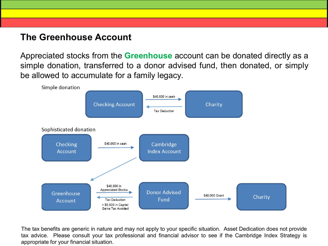### **The Greenhouse Account**

Appreciated stocks from the **Greenhouse** account can be donated directly as a simple donation, transferred to a donor advised fund, then donated, or simply be allowed to accumulate for a family legacy.



The tax benefits are generic in nature and may not apply to your specific situation. Asset Dedication does not provide tax advice. Please consult your tax professional and financial advisor to see if the Cambridge Index Strategy is appropriate for your financial situation.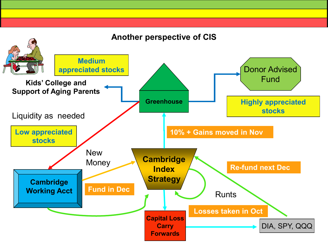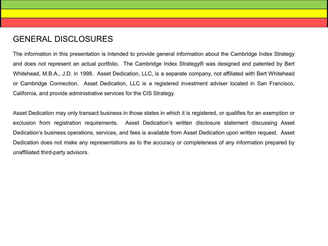#### GENERAL DISCLOSURES

The information in this presentation is intended to provide general information about the Cambridge Index Strategy and does not represent an actual portfolio. The Cambridge Index Strategy® was designed and patented by Bert Whitehead, M.B.A., J.D. in 1998. Asset Dedication, LLC, is a separate company, not affiliated with Bert Whitehead or Cambridge Connection. Asset Dedication, LLC is a registered investment adviser located in San Francisco, California, and provide administrative services for the CIS Strategy.

Asset Dedication may only transact business in those states in which it is registered, or qualifies for an exemption or exclusion from registration requirements. Asset Dedication's written disclosure statement discussing Asset Dedication's business operations, services, and fees is available from Asset Dedication upon written request. Asset Dedication does not make any representations as to the accuracy or completeness of any information prepared by unaffiliated third-party advisors.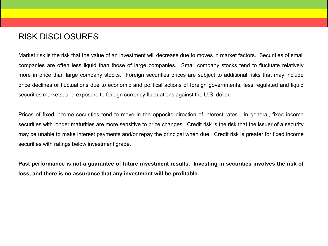#### RISK DISCLOSURES

Market risk is the risk that the value of an investment will decrease due to moves in market factors. Securities of small companies are often less liquid than those of large companies. Small company stocks tend to fluctuate relatively more in price than large company stocks. Foreign securities prices are subject to additional risks that may include price declines or fluctuations due to economic and political actions of foreign governments, less regulated and liquid securities markets, and exposure to foreign currency fluctuations against the U.S. dollar.

Prices of fixed income securities tend to move in the opposite direction of interest rates. In general, fixed income securities with longer maturities are more sensitive to price changes. Credit risk is the risk that the issuer of a security may be unable to make interest payments and/or repay the principal when due. Credit risk is greater for fixed income securities with ratings below investment grade.

Past performance is not a guarantee of future investment results. Investing in securities involves the risk of **loss, and there is no assurance that any investment will be profitable.**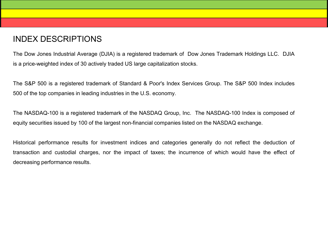#### INDEX DESCRIPTIONS

The Dow Jones Industrial Average (DJIA) is a registered trademark of Dow Jones Trademark Holdings LLC. DJIA is a price-weighted index of 30 actively traded US large capitalization stocks.

The S&P 500 is a registered trademark of Standard & Poor's Index Services Group. The S&P 500 Index includes 500 of the top companies in leading industries in the U.S. economy.

The NASDAQ-100 is a registered trademark of the NASDAQ Group, Inc. The NASDAQ-100 Index is composed of equity securities issued by 100 of the largest non-financial companies listed on the NASDAQ exchange.

Historical performance results for investment indices and categories generally do not reflect the deduction of transaction and custodial charges, nor the impact of taxes; the incurrence of which would have the effect of decreasing performance results.